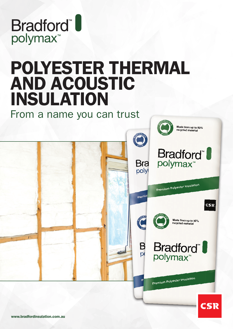

# POLYESTER THERMAL AND ACOUSTIC INSULATION

From a name you can trust